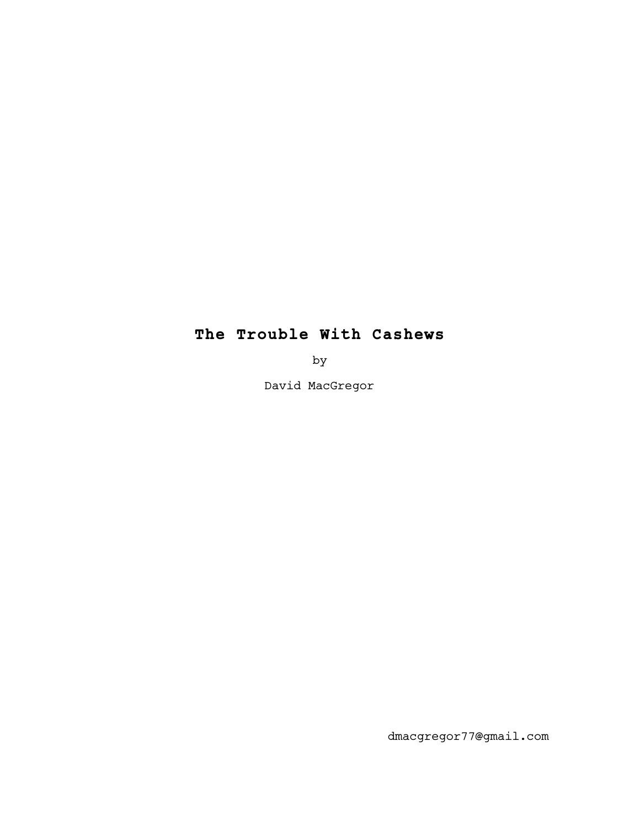# **The Trouble With Cashews**

by

David MacGregor

dmacgregor77@gmail.com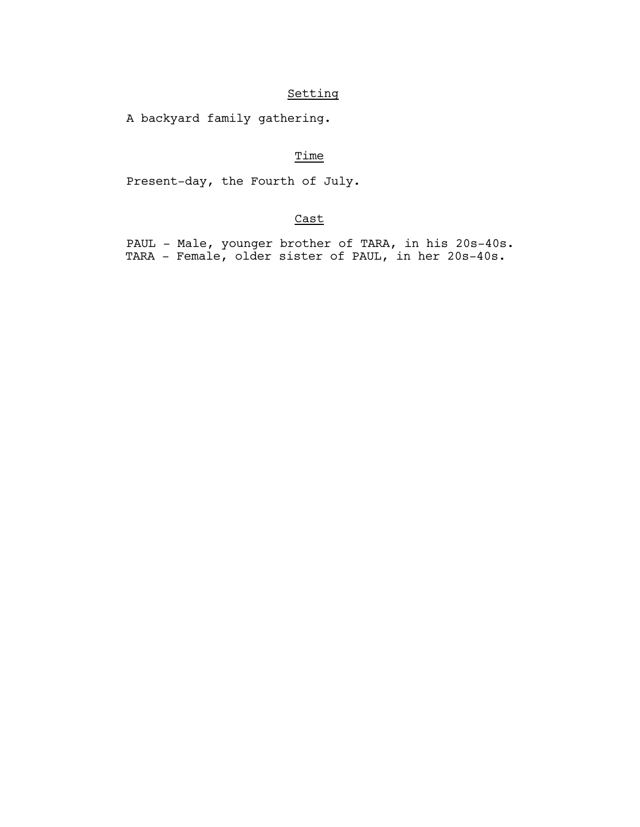# Setting

A backyard family gathering.

# Time

Present-day, the Fourth of July.

# Cast

 PAUL - Male, younger brother of TARA, in his 20s-40s. TARA - Female, older sister of PAUL, in her 20s-40s.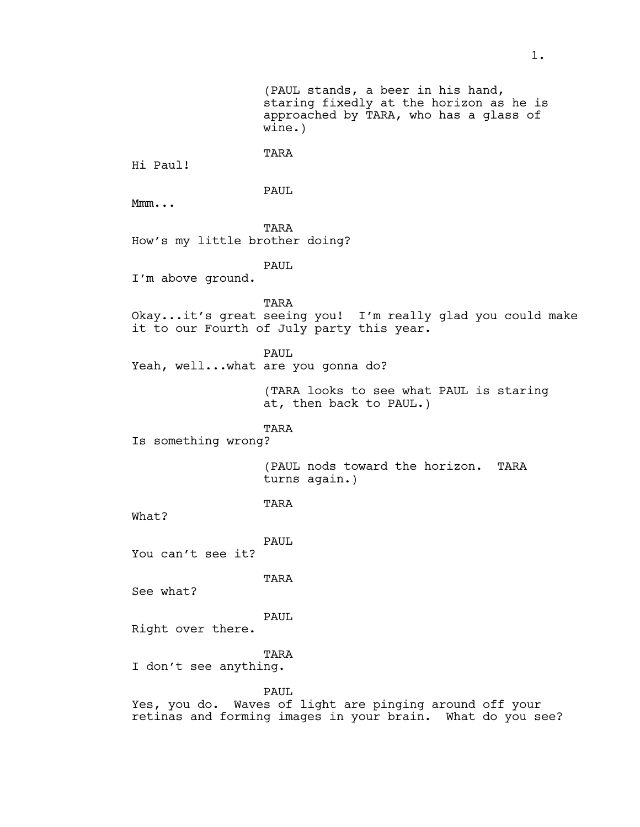(PAUL stands, a beer in his hand, staring fixedly at the horizon as he is approached by TARA, who has a glass of wine.)

Hi Paul!

PAUL

TARA

Mmm...

TARA How's my little brother doing?

PAUL

I'm above ground.

TARA Okay...it's great seeing you! I'm really glad you could make it to our Fourth of July party this year.

PAUL

Yeah, well...what are you gonna do?

(TARA looks to see what PAUL is staring at, then back to PAUL.)

TARA

Is something wrong?

(PAUL nods toward the horizon. TARA turns again.)

TARA

What?

PAUL

You can't see it?

TARA

See what?

PAUL

Right over there.

TARA

I don't see anything.

PAUL

Yes, you do. Waves of light are pinging around off your retinas and forming images in your brain. What do you see?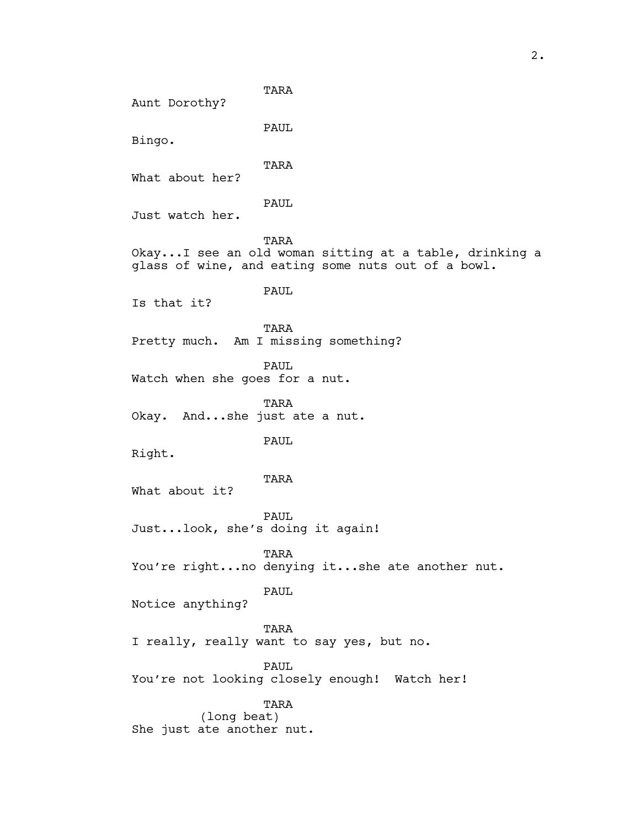TARA Aunt Dorothy? PAUL Bingo. TARA What about her? PAUL Just watch her. TARA Okay...I see an old woman sitting at a table, drinking a glass of wine, and eating some nuts out of a bowl. PAUL Is that it? TARA Pretty much. Am I missing something? PAUL Watch when she goes for a nut. TARA Okay. And...she just ate a nut. PAUL Right. TARA What about it? PAUL Just...look, she's doing it again! TARA You're right...no denying it...she ate another nut. PAUL Notice anything? TARA I really, really want to say yes, but no. PAUL You're not looking closely enough! Watch her! TARA (long beat) She just ate another nut.

2.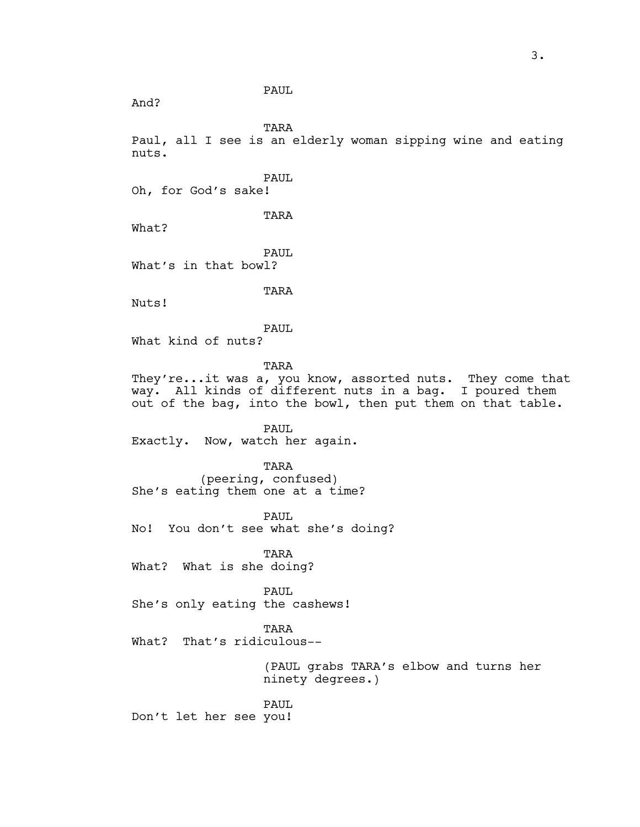PAUL

And?

TARA

Paul, all I see is an elderly woman sipping wine and eating nuts.

PAUL

Oh, for God's sake!

TARA

What?

PAUL What's in that bowl?

TARA

Nuts!

PAUL

What kind of nuts?

TARA

They're...it was a, you know, assorted nuts. They come that way. All kinds of different nuts in a bag. I poured them out of the bag, into the bowl, then put them on that table.

PAUL Exactly. Now, watch her again.

TARA (peering, confused) She's eating them one at a time?

PAUL No! You don't see what she's doing?

TARA What? What is she doing?

PAUL She's only eating the cashews!

TARA

What? That's ridiculous--

(PAUL grabs TARA's elbow and turns her ninety degrees.)

PAUL Don't let her see you!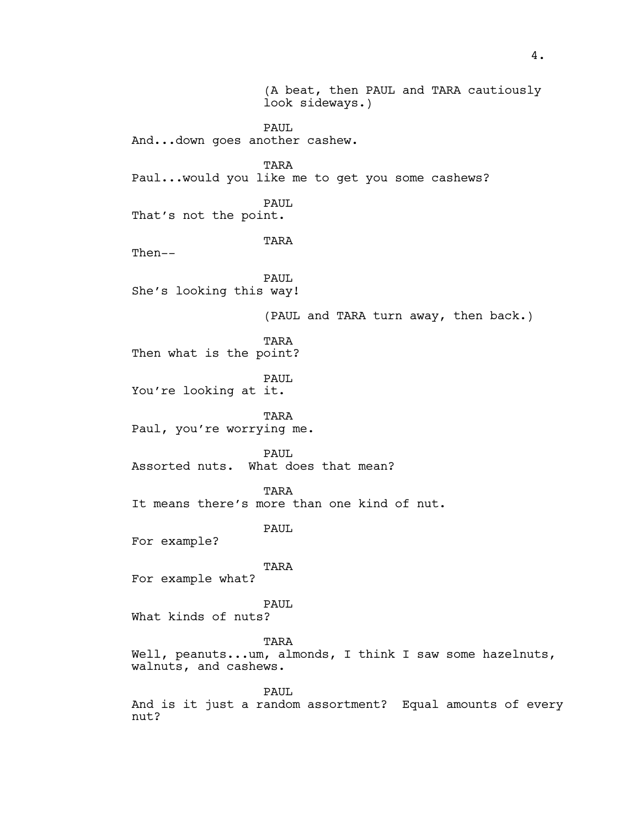(A beat, then PAUL and TARA cautiously look sideways.) PAUL And...down goes another cashew. TARA Paul...would you like me to get you some cashews? PAUL That's not the point. TARA Then-- PAUL. She's looking this way! (PAUL and TARA turn away, then back.) TARA Then what is the point? PAUL You're looking at it. TARA Paul, you're worrying me. PAUL Assorted nuts. What does that mean? TARA It means there's more than one kind of nut. PAUL For example? TARA For example what? PAUL What kinds of nuts? TARA Well, peanuts...um, almonds, I think I saw some hazelnuts, walnuts, and cashews. PAUL And is it just a random assortment? Equal amounts of every nut?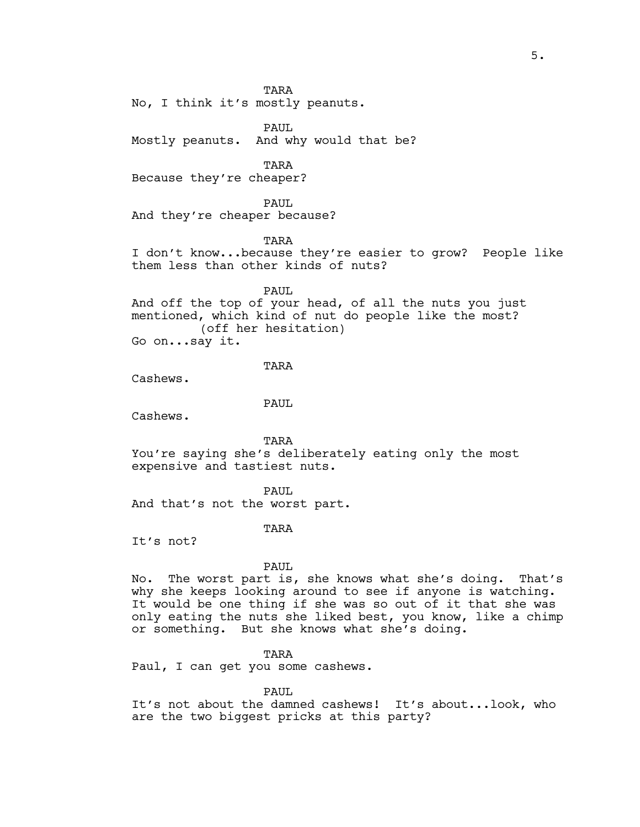TARA

No, I think it's mostly peanuts.

PAUL Mostly peanuts. And why would that be?

TARA

Because they're cheaper?

PAUL

And they're cheaper because?

TARA

I don't know...because they're easier to grow? People like them less than other kinds of nuts?

PAUL

And off the top of your head, of all the nuts you just mentioned, which kind of nut do people like the most? (off her hesitation)

Go on...say it.

#### TARA

Cashews.

PAUL

Cashews.

TARA You're saying she's deliberately eating only the most expensive and tastiest nuts.

PAUL.

And that's not the worst part.

TARA

It's not?

PAUL.

No. The worst part is, she knows what she's doing. That's why she keeps looking around to see if anyone is watching. It would be one thing if she was so out of it that she was only eating the nuts she liked best, you know, like a chimp or something. But she knows what she's doing.

TARA

Paul, I can get you some cashews.

PAUL.

It's not about the damned cashews! It's about...look, who are the two biggest pricks at this party?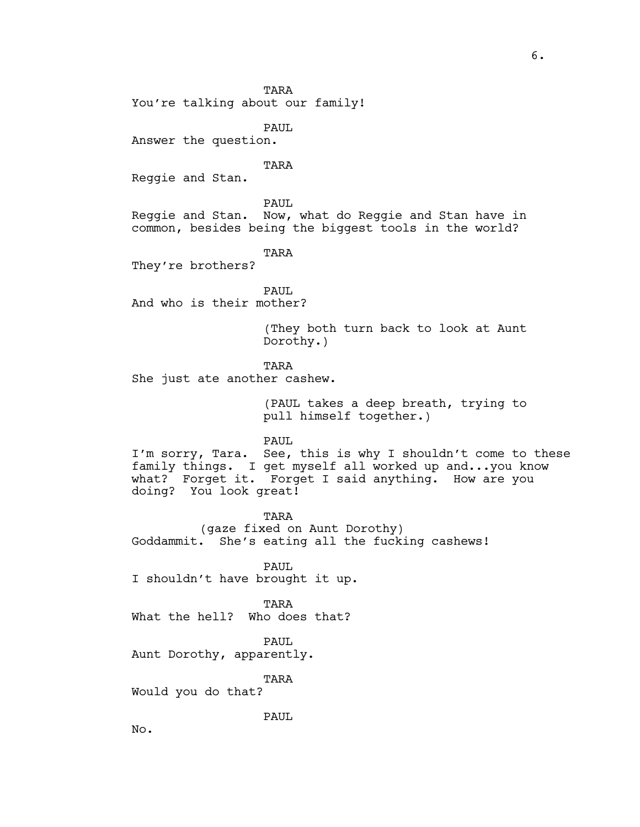TARA

You're talking about our family!

PAUL

Answer the question.

#### TARA

Reggie and Stan.

PAUL Reggie and Stan. Now, what do Reggie and Stan have in common, besides being the biggest tools in the world?

TARA

They're brothers?

PAUL. And who is their mother?

> (They both turn back to look at Aunt Dorothy.)

TARA

She just ate another cashew.

(PAUL takes a deep breath, trying to pull himself together.)

PAUL

I'm sorry, Tara. See, this is why I shouldn't come to these family things. I get myself all worked up and...you know what? Forget it. Forget I said anything. How are you doing? You look great!

TARA (gaze fixed on Aunt Dorothy) Goddammit. She's eating all the fucking cashews!

PAUL I shouldn't have brought it up.

TARA What the hell? Who does that?

PAUL

Aunt Dorothy, apparently.

TARA

Would you do that?

PAUL

No.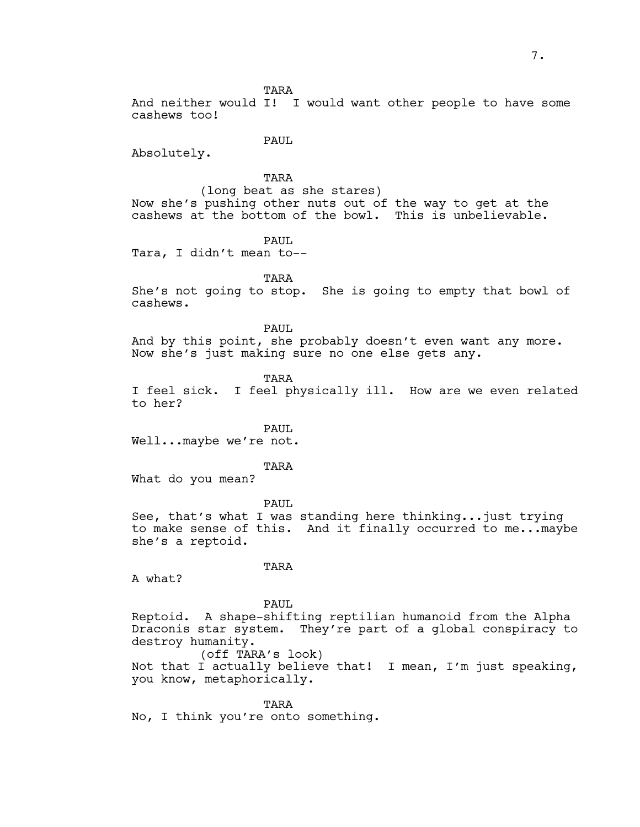TARA

And neither would I! I would want other people to have some cashews too!

PAUL

Absolutely.

TARA

(long beat as she stares) Now she's pushing other nuts out of the way to get at the cashews at the bottom of the bowl. This is unbelievable.

PAUL

Tara, I didn't mean to--

TARA

She's not going to stop. She is going to empty that bowl of cashews.

PAUL

And by this point, she probably doesn't even want any more. Now she's just making sure no one else gets any.

TARA

I feel sick. I feel physically ill. How are we even related to her?

PAUL.

Well...maybe we're not.

TARA

What do you mean?

PAUL See, that's what I was standing here thinking...just trying to make sense of this. And it finally occurred to me...maybe she's a reptoid.

TARA

A what?

PAUL Reptoid. A shape-shifting reptilian humanoid from the Alpha Draconis star system. They're part of a global conspiracy to destroy humanity. (off TARA's look)

Not that I actually believe that! I mean, I'm just speaking, you know, metaphorically.

**TARA** No, I think you're onto something.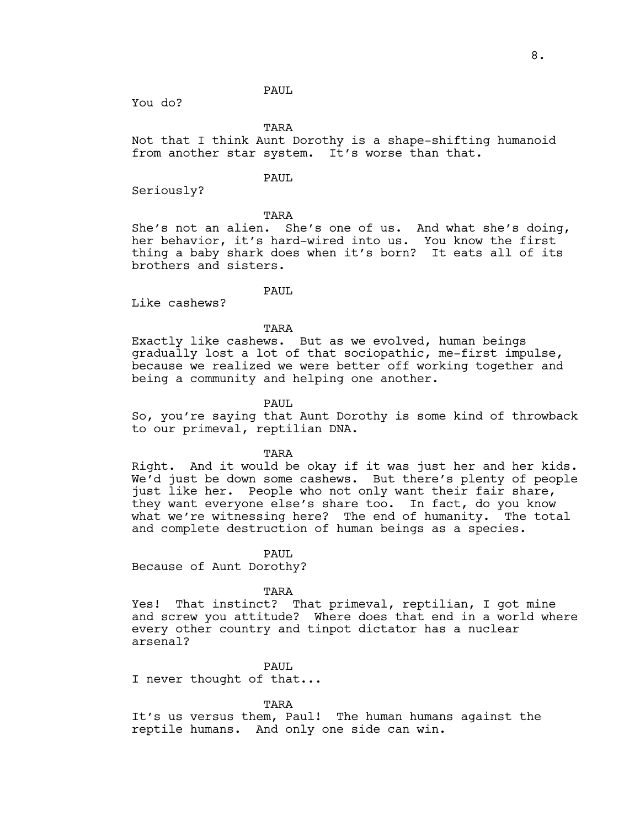#### PAUL

You do?

TARA

Not that I think Aunt Dorothy is a shape-shifting humanoid from another star system. It's worse than that.

### PAUL

Seriously?

TARA

She's not an alien. She's one of us. And what she's doing, her behavior, it's hard-wired into us. You know the first thing a baby shark does when it's born? It eats all of its brothers and sisters.

PAUL.

Like cashews?

TARA

Exactly like cashews. But as we evolved, human beings gradually lost a lot of that sociopathic, me-first impulse, because we realized we were better off working together and being a community and helping one another.

### PAUL

So, you're saying that Aunt Dorothy is some kind of throwback to our primeval, reptilian DNA.

TARA

Right. And it would be okay if it was just her and her kids. We'd just be down some cashews. But there's plenty of people just like her. People who not only want their fair share, they want everyone else's share too. In fact, do you know what we're witnessing here? The end of humanity. The total and complete destruction of human beings as a species.

PAUL.

Because of Aunt Dorothy?

TARA

Yes! That instinct? That primeval, reptilian, I got mine and screw you attitude? Where does that end in a world where every other country and tinpot dictator has a nuclear arsenal?

PAUL

I never thought of that...

TARA

It's us versus them, Paul! The human humans against the reptile humans. And only one side can win.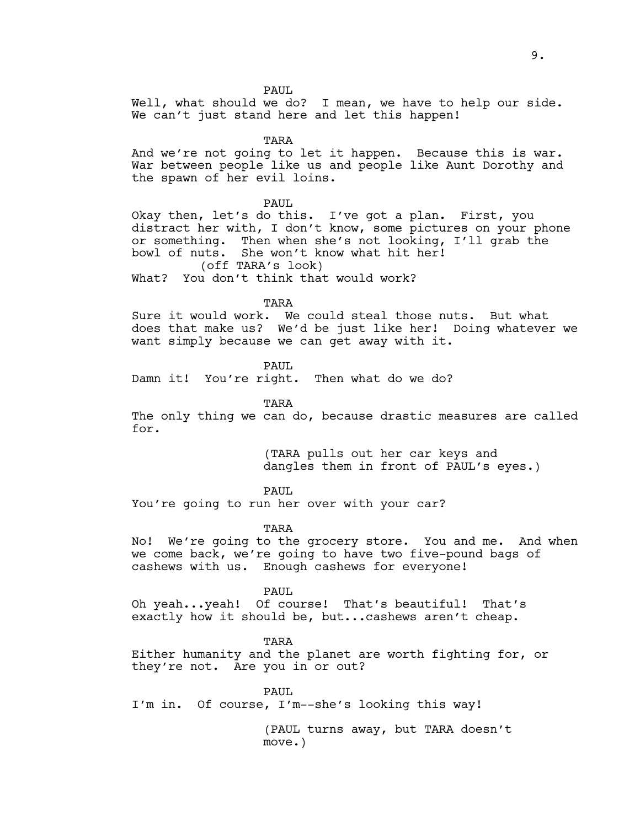PAUL

Well, what should we do? I mean, we have to help our side. We can't just stand here and let this happen!

TARA

And we're not going to let it happen. Because this is war. War between people like us and people like Aunt Dorothy and the spawn of her evil loins.

PAUL

Okay then, let's do this. I've got a plan. First, you distract her with, I don't know, some pictures on your phone or something. Then when she's not looking, I'll grab the bowl of nuts. She won't know what hit her! (off TARA's look)

What? You don't think that would work?

TARA

Sure it would work. We could steal those nuts. But what does that make us? We'd be just like her! Doing whatever we want simply because we can get away with it.

PAUL

Damn it! You're right. Then what do we do?

TARA

The only thing we can do, because drastic measures are called for.

> (TARA pulls out her car keys and dangles them in front of PAUL's eyes.)

PAUL.

You're going to run her over with your car?

TARA

No! We're going to the grocery store. You and me. And when we come back, we're going to have two five-pound bags of cashews with us. Enough cashews for everyone!

PAUL

Oh yeah...yeah! Of course! That's beautiful! That's exactly how it should be, but...cashews aren't cheap.

TARA

Either humanity and the planet are worth fighting for, or they're not. Are you in or out?

PAUL. I'm in. Of course, I'm--she's looking this way!

> (PAUL turns away, but TARA doesn't move.)